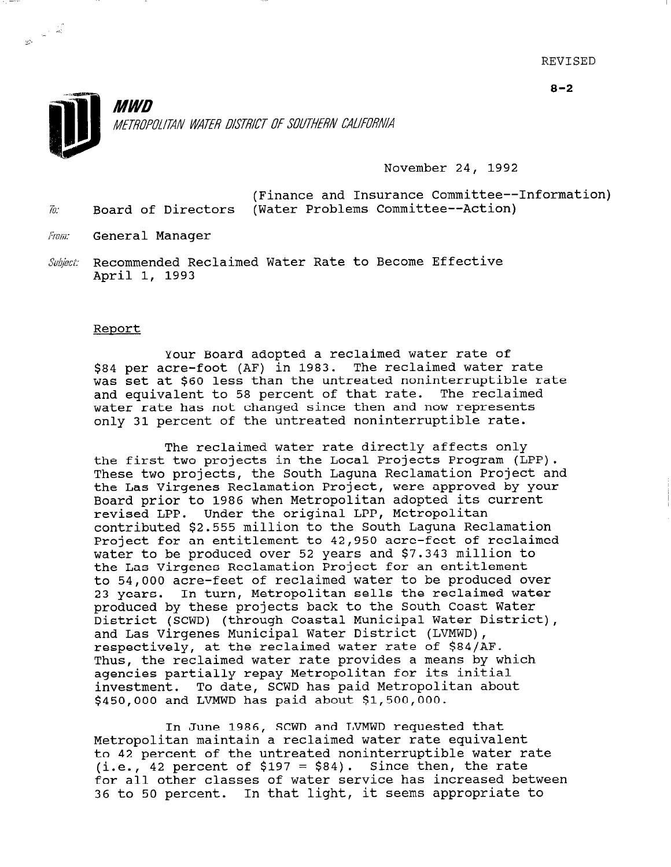

November 24, 1992

(Finance and Insurance Committee--Information) h: Board of Directors (Water Problems Committee--Action)

From: General Manager

Subject: Recommended Reclaimed Water Rate to Become Effective April 1, 1993

#### Report

Your Board adopted a reclaimed water rate of \$84 per acre-foot (AF) in 1983. The reclaimed water rate was set at \$60 less than the untreated noninterruptible rate and equivalent to 58 percent of that rate. The reclaimed water rate has not changed since then and now represents only 31 percent of the untreated noninterruptible rate.

The reclaimed water rate directly affects only the first two projects in the Local Projects Program (LPP). These two projects, the South Laguna Reclamation Project and the Las Virgenes Reclamation Project, were approved by your Board prior to 1986 when Metropolitan adopted its current revised LPP. Under the original LPP, Metropolitan contributed \$2.555 million to the South Laguna Reclamation Project for an entitlement to 42,950 acre-feet of reclaimed water to be produced over 52 years and \$7.343 million to the Las Virgenes Reclamation Project for an entitlement to 54,000 acre-feet of reclaimed water to be produced over 23 years. In turn, Metropolitan sells the reclaimed water produced by these projects back to the South Coast Water District (SCWD) (through Coastal Municipal Water District), and Las Virgenes Municipal Water District (LVMWD), respectively, at the reclaimed water rate of \$84/AF. Thus, the reclaimed water rate provides a means by which agencies partially repay Metropolitan for its init investment. To date, SCWD has paid Metropolitan about investment. To date, SCWD has paid Metropolitan about \$450,000 and LVMWD has paid about \$1,500,000.

In June 1986, SCWD and LVMWD requested that Metropolitan maintain a requested under<br>Metropolitan maintain a recelaimed water rate equivalent metropolitan maintain a recialmed water rate equivalent to 42 percent of the untreated noninterruptible water rate (i.e., 42 percent of \$197 = \$84). Since then, the rate for all other classes of water service has increased between<br>36 to 50 percent. In that light, it seems appropriate to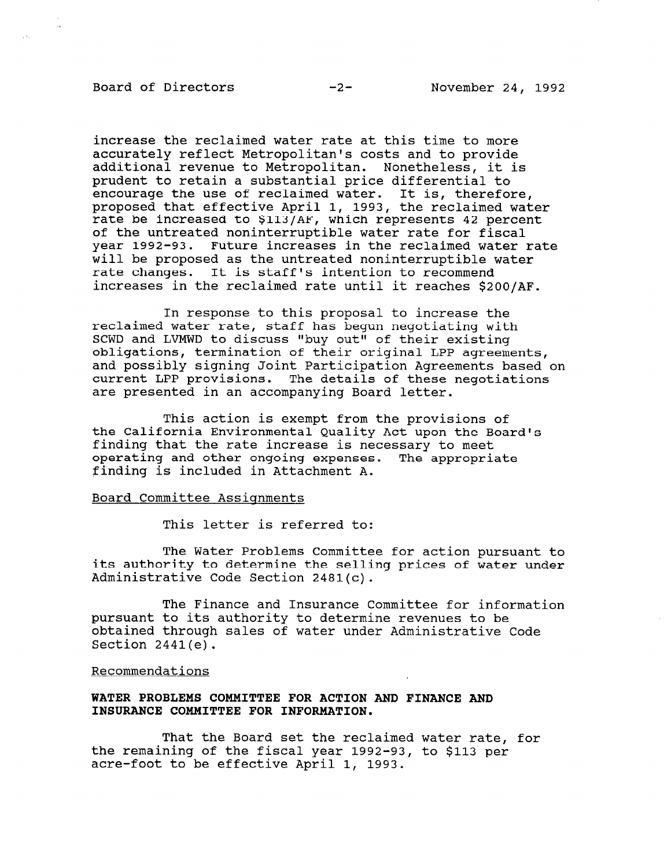# Board of Directors -2- November 24, 1992

increase the reclaimed water rate at this time to more accurately reflect Metropolitan's costs and to provide additional revenue to Metropolitan. Nonetheless, it is prudent to retain a substantial price differential to encourage the use of reclaimed water. It is, therefore, proposed that effective April 1, 1993, the reclaimed water rate be increased to \$113/AF, which represents 42 percent of the untreated noninterruptible water rate for fiscal year 1992-93. Future increases in the reclaimed water rate will be proposed as the untreated noninterruptible water rate changes. It is staff's intention to recommend increases in the reclaimed rate until it reaches \$200/AF.

In response to this proposal to increase the reclaimed water rate, staff has begun negotiating with SCWD and LVMWD to discuss "buy out" of their existing obligations, termination of their original LPP agreements, and possibly signing Joint Participation Agreements based on current LPP provisions. The details of these negotiations are presented in an accompanying Board letter.

This action is exempt from the provisions of the California Environmental Quality Act upon the Board's finding that the rate increase is necessary to meet operating and other ongoing expenses. The appropriate finding is included in Attachment A.

### Board Committee Assignments

This letter is referred to:

The Water Problems Committee for action pursuant to its authority to determine the selling prices of water under Administrative Code Section 2481(c).

The Finance and Insurance Committee for information pursuant to its authority to determine revenues to be obtained through sales of water under Administrative Code Section 2441(e).

### Recommendations

## WATER PROBLEMS COMMITTEE FOR ACTION AND FINANCE AND INSURANCE COMMITTEE FOR INFORMATION.

That the Board set the reclaimed water rate, for that the board set the reclaimed water rate, the remaining of the fiscal year 1992-93, to \$113 per acre-foot to be effective April 1, 1993.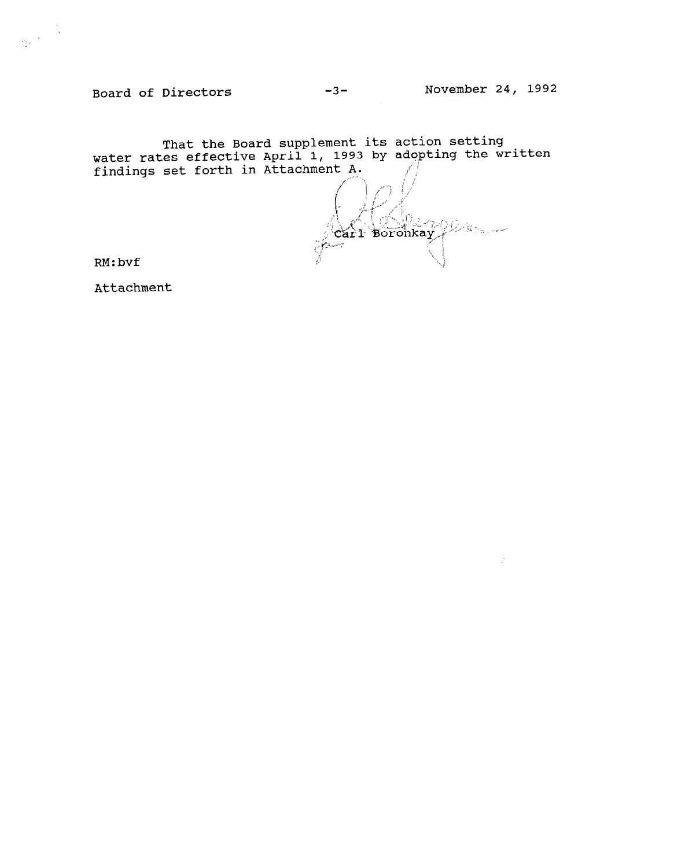Board of Directors

November 24, 1992

That the Board supplement its action setting<br>water rates effective April 1, 1993 by adopting the written<br>findings set forth in Attachment A.

 $\bigcup_{\textbf{c}} \bigcup_{\textbf{p}} \bigcup_{\textbf{p}} \bigcup_{\textbf{p}} \bigcup_{\textbf{p}} \bigcup_{\textbf{p}} \bigcup_{\textbf{p}} \bigcup_{\textbf{p}} \bigcup_{\textbf{p}} \bigcup_{\textbf{p}} \bigcup_{\textbf{p}} \bigcup_{\textbf{p}} \bigcup_{\textbf{p}} \bigcup_{\textbf{p}} \bigcup_{\textbf{p}} \bigcup_{\textbf{p}} \bigcup_{\textbf{p}} \bigcup_{\textbf{p}} \bigcup_{\textbf{p}} \bigcup_{\textbf{p}} \bigcup_{\textbf{p}} \bigcup_{\textbf{p}}$ l O .<br>List nett

 $RM:$  bvf

Attachment